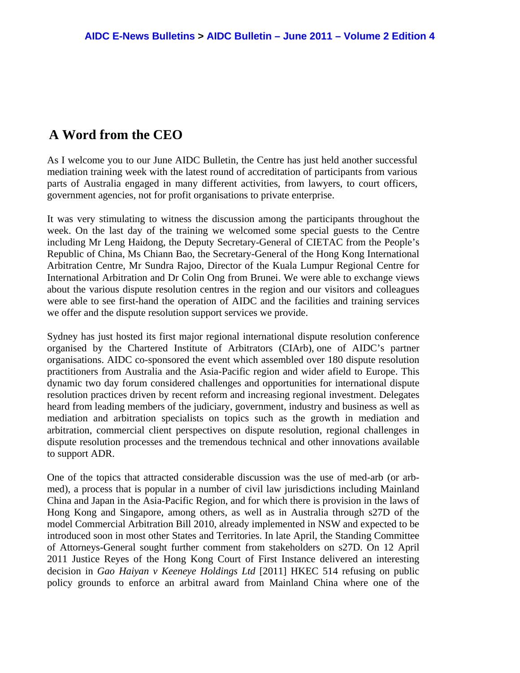## **A Word from the CEO**

As I welcome you to our June AIDC Bulletin, the Centre has just held another successful mediation training week with the latest round of accreditation of participants from various parts of Australia engaged in many different activities, from lawyers, to court officers, government agencies, not for profit organisations to private enterprise.

It was very stimulating to witness the discussion among the participants throughout the week. On the last day of the training we welcomed some special guests to the Centre including Mr Leng Haidong, the Deputy Secretary-General of CIETAC from the People's Republic of China, Ms Chiann Bao, the Secretary-General of the Hong Kong International Arbitration Centre, Mr Sundra Rajoo, Director of the Kuala Lumpur Regional Centre for International Arbitration and Dr Colin Ong from Brunei. We were able to exchange views about the various dispute resolution centres in the region and our visitors and colleagues were able to see first-hand the operation of AIDC and the facilities and training services we offer and the dispute resolution support services we provide.

Sydney has just hosted its first major regional international dispute resolution conference organised by the Chartered Institute of Arbitrators (CIArb), one of AIDC's partner organisations. AIDC co-sponsored the event which assembled over 180 dispute resolution practitioners from Australia and the Asia-Pacific region and wider afield to Europe. This dynamic two day forum considered challenges and opportunities for international dispute resolution practices driven by recent reform and increasing regional investment. Delegates heard from leading members of the judiciary, government, industry and business as well as mediation and arbitration specialists on topics such as the growth in mediation and arbitration, commercial client perspectives on dispute resolution, regional challenges in dispute resolution processes and the tremendous technical and other innovations available to support ADR.

One of the topics that attracted considerable discussion was the use of med-arb (or arbmed), a process that is popular in a number of civil law jurisdictions including Mainland China and Japan in the Asia-Pacific Region, and for which there is provision in the laws of Hong Kong and Singapore, among others, as well as in Australia through s27D of the model Commercial Arbitration Bill 2010, already implemented in NSW and expected to be introduced soon in most other States and Territories. In late April, the Standing Committee of Attorneys-General sought further comment from stakeholders on s27D. On 12 April 2011 Justice Reyes of the Hong Kong Court of First Instance delivered an interesting decision in *Gao Haiyan v Keeneye Holdings Ltd* [2011] HKEC 514 refusing on public policy grounds to enforce an arbitral award from Mainland China where one of the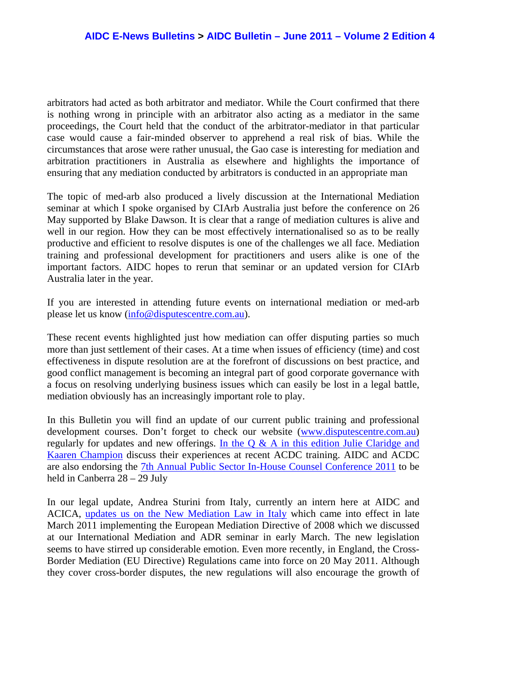arbitrators had acted as both arbitrator and mediator. While the Court confirmed that there is nothing wrong in principle with an arbitrator also acting as a mediator in the same proceedings, the Court held that the conduct of the arbitrator-mediator in that particular case would cause a fair-minded observer to apprehend a real risk of bias. While the circumstances that arose were rather unusual, the Gao case is interesting for mediation and arbitration practitioners in Australia as elsewhere and highlights the importance of ensuring that any mediation conducted by arbitrators is conducted in an appropriate man

The topic of med-arb also produced a lively discussion at the International Mediation seminar at which I spoke organised by CIArb Australia just before the conference on 26 May supported by Blake Dawson. It is clear that a range of mediation cultures is alive and well in our region. How they can be most effectively internationalised so as to be really productive and efficient to resolve disputes is one of the challenges we all face. Mediation training and professional development for practitioners and users alike is one of the important factors. AIDC hopes to rerun that seminar or an updated version for CIArb Australia later in the year.

If you are interested in attending future events on international mediation or med-arb please let us know (info@disputescentre.com.au).

These recent events highlighted just how mediation can offer disputing parties so much more than just settlement of their cases. At a time when issues of efficiency (time) and cost effectiveness in dispute resolution are at the forefront of discussions on best practice, and good conflict management is becoming an integral part of good corporate governance with a focus on resolving underlying business issues which can easily be lost in a legal battle, mediation obviously has an increasingly important role to play.

In this Bulletin you will find an update of our current public training and professional development courses. Don't forget to check our website (www.disputescentre.com.au) regularly for updates and new offerings. In the  $Q \& A$  in this edition Julie Claridge and Kaaren Champion discuss their experiences at recent ACDC training. AIDC and ACDC are also endorsing the 7th Annual Public Sector In-House Counsel Conference 2011 to be held in Canberra 28 – 29 July

In our legal update, Andrea Sturini from Italy, currently an intern here at AIDC and ACICA, updates us on the New Mediation Law in Italy which came into effect in late March 2011 implementing the European Mediation Directive of 2008 which we discussed at our International Mediation and ADR seminar in early March. The new legislation seems to have stirred up considerable emotion. Even more recently, in England, the Cross-Border Mediation (EU Directive) Regulations came into force on 20 May 2011. Although they cover cross-border disputes, the new regulations will also encourage the growth of